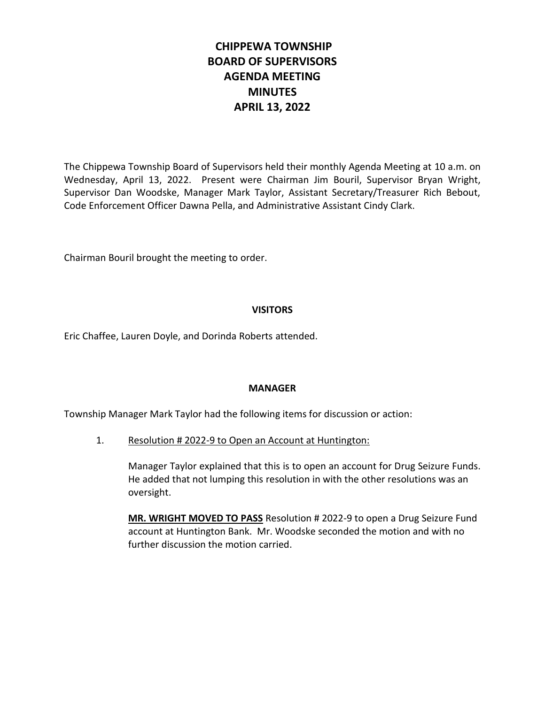# **CHIPPEWA TOWNSHIP BOARD OF SUPERVISORS AGENDA MEETING MINUTES APRIL 13, 2022**

The Chippewa Township Board of Supervisors held their monthly Agenda Meeting at 10 a.m. on Wednesday, April 13, 2022. Present were Chairman Jim Bouril, Supervisor Bryan Wright, Supervisor Dan Woodske, Manager Mark Taylor, Assistant Secretary/Treasurer Rich Bebout, Code Enforcement Officer Dawna Pella, and Administrative Assistant Cindy Clark.

Chairman Bouril brought the meeting to order.

# **VISITORS**

Eric Chaffee, Lauren Doyle, and Dorinda Roberts attended.

## **MANAGER**

Township Manager Mark Taylor had the following items for discussion or action:

1. Resolution # 2022-9 to Open an Account at Huntington:

Manager Taylor explained that this is to open an account for Drug Seizure Funds. He added that not lumping this resolution in with the other resolutions was an oversight.

**MR. WRIGHT MOVED TO PASS** Resolution # 2022-9 to open a Drug Seizure Fund account at Huntington Bank. Mr. Woodske seconded the motion and with no further discussion the motion carried.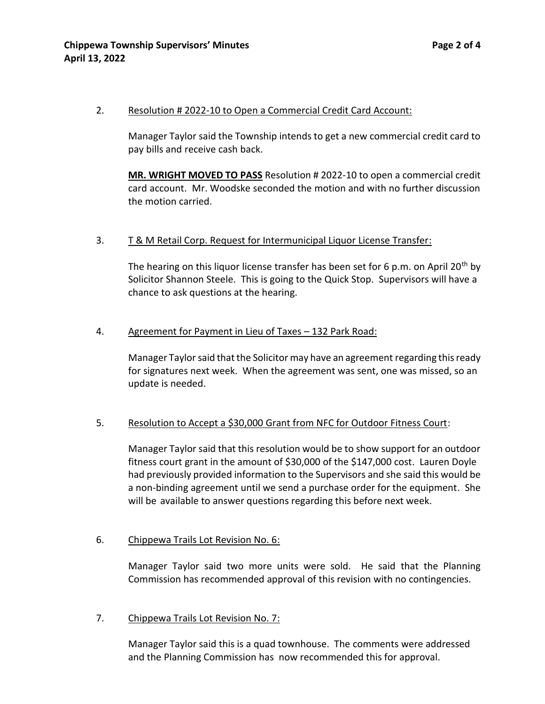#### 2. Resolution # 2022-10 to Open a Commercial Credit Card Account:

Manager Taylor said the Township intends to get a new commercial credit card to pay bills and receive cash back.

**MR. WRIGHT MOVED TO PASS** Resolution # 2022-10 to open a commercial credit card account. Mr. Woodske seconded the motion and with no further discussion the motion carried.

### 3. T & M Retail Corp. Request for Intermunicipal Liquor License Transfer:

The hearing on this liquor license transfer has been set for 6 p.m. on April 20<sup>th</sup> by Solicitor Shannon Steele. This is going to the Quick Stop. Supervisors will have a chance to ask questions at the hearing.

### 4. Agreement for Payment in Lieu of Taxes - 132 Park Road:

Manager Taylor said that the Solicitor may have an agreement regarding this ready for signatures next week. When the agreement was sent, one was missed, so an update is needed.

## 5. Resolution to Accept a \$30,000 Grant from NFC for Outdoor Fitness Court:

Manager Taylor said that this resolution would be to show support for an outdoor fitness court grant in the amount of \$30,000 of the \$147,000 cost. Lauren Doyle had previously provided information to the Supervisors and she said this would be a non-binding agreement until we send a purchase order for the equipment. She will be available to answer questions regarding this before next week.

## 6. Chippewa Trails Lot Revision No. 6:

Manager Taylor said two more units were sold. He said that the Planning Commission has recommended approval of this revision with no contingencies.

## 7. Chippewa Trails Lot Revision No. 7:

Manager Taylor said this is a quad townhouse. The comments were addressed and the Planning Commission has now recommended this for approval.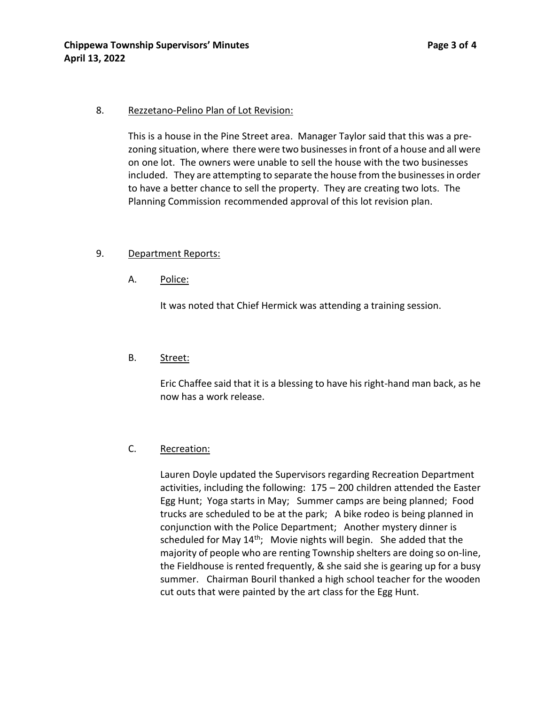### 8. Rezzetano-Pelino Plan of Lot Revision:

This is a house in the Pine Street area. Manager Taylor said that this was a prezoning situation, where there were two businesses in front of a house and all were on one lot. The owners were unable to sell the house with the two businesses included. They are attempting to separate the house from the businesses in order to have a better chance to sell the property. They are creating two lots. The Planning Commission recommended approval of this lot revision plan.

### 9. Department Reports:

A. Police:

It was noted that Chief Hermick was attending a training session.

#### B. Street:

Eric Chaffee said that it is a blessing to have his right-hand man back, as he now has a work release.

## C. Recreation:

Lauren Doyle updated the Supervisors regarding Recreation Department activities, including the following: 175 – 200 children attended the Easter Egg Hunt; Yoga starts in May; Summer camps are being planned; Food trucks are scheduled to be at the park; A bike rodeo is being planned in conjunction with the Police Department; Another mystery dinner is scheduled for May  $14<sup>th</sup>$ ; Movie nights will begin. She added that the majority of people who are renting Township shelters are doing so on-line, the Fieldhouse is rented frequently, & she said she is gearing up for a busy summer. Chairman Bouril thanked a high school teacher for the wooden cut outs that were painted by the art class for the Egg Hunt.